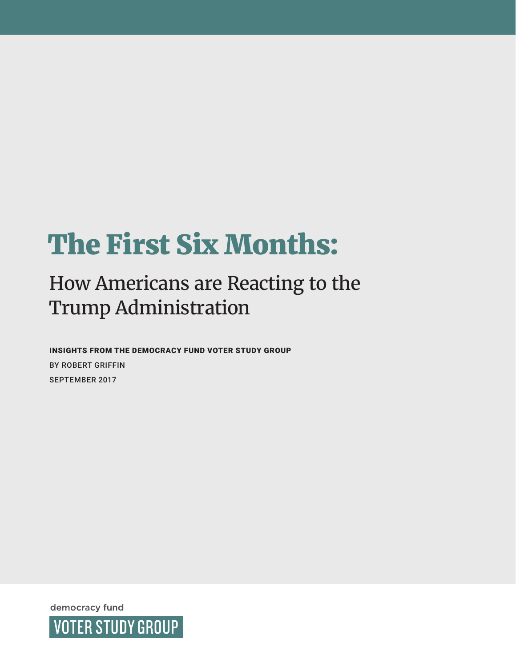# The First Six Months:

# How Americans are Reacting to the Trump Administration

INSIGHTS FROM THE DEMOCRACY FUND VOTER STUDY GROUP BY ROBERT GRIFFIN SEPTEMBER 2017

democracy fund **VOTER STUDY GROUP**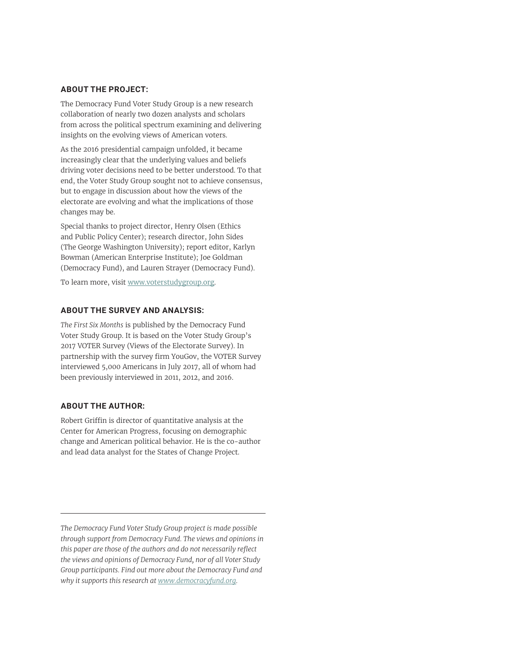#### **ABOUT THE PROJECT:**

The Democracy Fund Voter Study Group is a new research collaboration of nearly two dozen analysts and scholars from across the political spectrum examining and delivering insights on the evolving views of American voters.

As the 2016 presidential campaign unfolded, it became increasingly clear that the underlying values and beliefs driving voter decisions need to be better understood. To that end, the Voter Study Group sought not to achieve consensus, but to engage in discussion about how the views of the electorate are evolving and what the implications of those changes may be.

Special thanks to project director, Henry Olsen (Ethics and Public Policy Center); research director, John Sides (The George Washington University); report editor, Karlyn Bowman (American Enterprise Institute); Joe Goldman (Democracy Fund), and Lauren Strayer (Democracy Fund).

To learn more, visit [www.voterstudygroup.org](http://www.voterstudygroup.org).

#### **ABOUT THE SURVEY AND ANALYSIS:**

*The First Six Months* is published by the Democracy Fund Voter Study Group. It is based on the Voter Study Group's 2017 VOTER Survey (Views of the Electorate Survey). In partnership with the survey firm YouGov, the VOTER Survey interviewed 5,000 Americans in July 2017, all of whom had been previously interviewed in 2011, 2012, and 2016.

#### **ABOUT THE AUTHOR:**

Robert Griffin is director of quantitative analysis at the Center for American Progress, focusing on demographic change and American political behavior. He is the co-author and lead data analyst for the States of Change Project.

*The Democracy Fund Voter Study Group project is made possible through support from Democracy Fund. The views and opinions in this paper are those of the authors and do not necessarily reflect the views and opinions of Democracy Fund, nor of all Voter Study Group participants. Find out more about the Democracy Fund and why it supports this research at www.democracyfund.org.*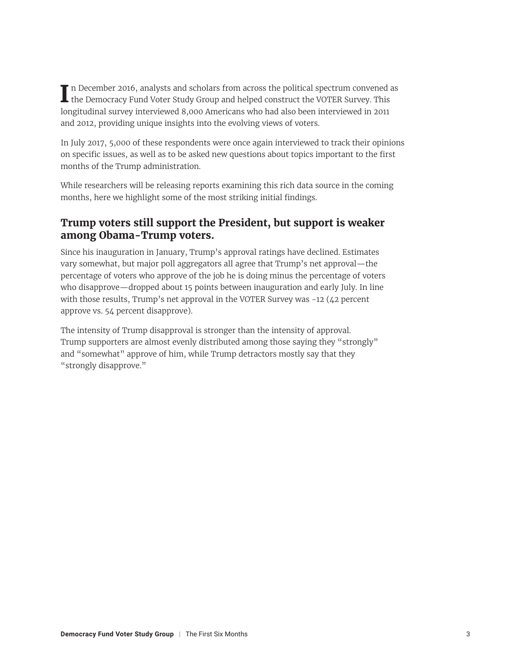In December 2016, analysts and scholars from across the political spectrum convened a<br>the Democracy Fund Voter Study Group and helped construct the VOTER Survey. This n December 2016, analysts and scholars from across the political spectrum convened as longitudinal survey interviewed 8,000 Americans who had also been interviewed in 2011 and 2012, providing unique insights into the evolving views of voters.

In July 2017, 5,000 of these respondents were once again interviewed to track their opinions on specific issues, as well as to be asked new questions about topics important to the first months of the Trump administration.

While researchers will be releasing reports examining this rich data source in the coming months, here we highlight some of the most striking initial findings.

## **Trump voters still support the President, but support is weaker among Obama-Trump voters.**

Since his inauguration in January, Trump's approval ratings have declined. Estimates vary somewhat, but major poll aggregators all agree that Trump's net approval—the percentage of voters who approve of the job he is doing minus the percentage of voters who disapprove—dropped about 15 points between inauguration and early July. In line with those results, Trump's net approval in the VOTER Survey was -12 (42 percent approve vs. 54 percent disapprove).

The intensity of Trump disapproval is stronger than the intensity of approval. Trump supporters are almost evenly distributed among those saying they "strongly" and "somewhat" approve of him, while Trump detractors mostly say that they "strongly disapprove."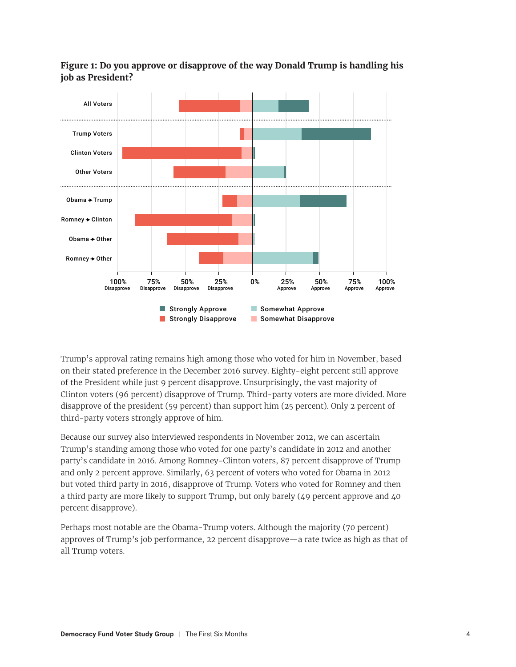

#### **Figure 1: Do you approve or disapprove of the way Donald Trump is handling his job as President?**

Trump's approval rating remains high among those who voted for him in November, based on their stated preference in the December 2016 survey. Eighty-eight percent still approve of the President while just 9 percent disapprove. Unsurprisingly, the vast majority of Clinton voters (96 percent) disapprove of Trump. Third-party voters are more divided. More disapprove of the president (59 percent) than support him (25 percent). Only 2 percent of third-party voters strongly approve of him.

Because our survey also interviewed respondents in November 2012, we can ascertain Trump's standing among those who voted for one party's candidate in 2012 and another party's candidate in 2016. Among Romney-Clinton voters, 87 percent disapprove of Trump and only 2 percent approve. Similarly, 63 percent of voters who voted for Obama in 2012 but voted third party in 2016, disapprove of Trump. Voters who voted for Romney and then a third party are more likely to support Trump, but only barely (49 percent approve and 40 percent disapprove).

Perhaps most notable are the Obama-Trump voters. Although the majority (70 percent) approves of Trump's job performance, 22 percent disapprove—a rate twice as high as that of all Trump voters.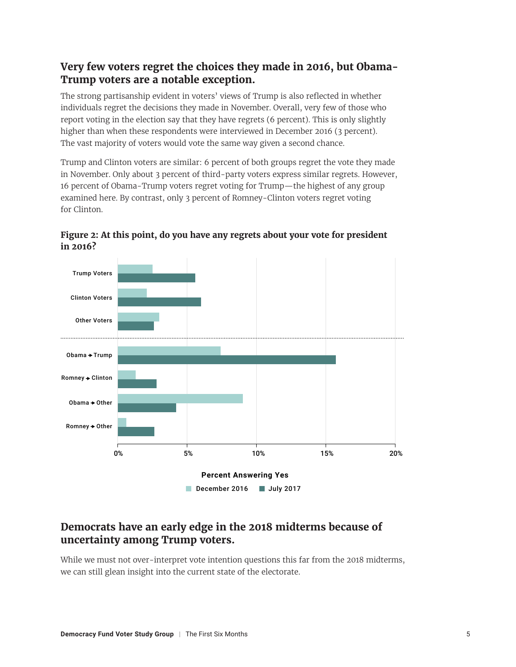#### **Very few voters regret the choices they made in 2016, but Obama-Trump voters are a notable exception.**

The strong partisanship evident in voters' views of Trump is also reflected in whether individuals regret the decisions they made in November. Overall, very few of those who report voting in the election say that they have regrets (6 percent). This is only slightly higher than when these respondents were interviewed in December 2016 (3 percent). The vast majority of voters would vote the same way given a second chance.

Trump and Clinton voters are similar: 6 percent of both groups regret the vote they made in November. Only about 3 percent of third-party voters express similar regrets. However, 16 percent of Obama-Trump voters regret voting for Trump—the highest of any group examined here. By contrast, only 3 percent of Romney-Clinton voters regret voting for Clinton.



#### **Figure 2: At this point, do you have any regrets about your vote for president in 2016?**

#### **Democrats have an early edge in the 2018 midterms because of uncertainty among Trump voters.**

While we must not over-interpret vote intention questions this far from the 2018 midterms, we can still glean insight into the current state of the electorate.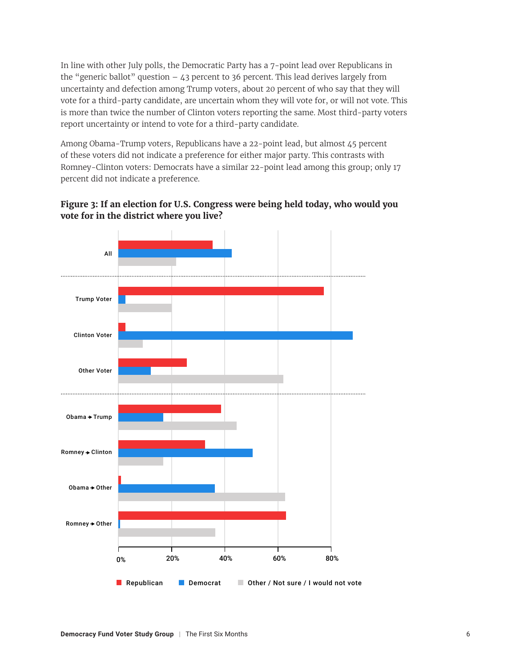In line with other July polls, the Democratic Party has a 7-point lead over Republicans in the "generic ballot" question  $-43$  percent to 36 percent. This lead derives largely from uncertainty and defection among Trump voters, about 20 percent of who say that they will vote for a third-party candidate, are uncertain whom they will vote for, or will not vote. This is more than twice the number of Clinton voters reporting the same. Most third-party voters report uncertainty or intend to vote for a third-party candidate.

Among Obama-Trump voters, Republicans have a 22-point lead, but almost 45 percent of these voters did not indicate a preference for either major party. This contrasts with Romney-Clinton voters: Democrats have a similar 22-point lead among this group; only 17 percent did not indicate a preference.



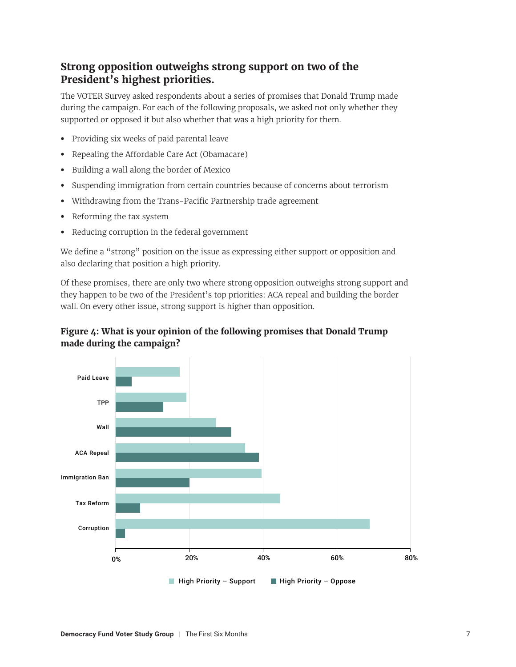# **Strong opposition outweighs strong support on two of the President's highest priorities.**

The VOTER Survey asked respondents about a series of promises that Donald Trump made during the campaign. For each of the following proposals, we asked not only whether they supported or opposed it but also whether that was a high priority for them.

- **•** Providing six weeks of paid parental leave
- **•** Repealing the Affordable Care Act (Obamacare)
- **•** Building a wall along the border of Mexico
- **•** Suspending immigration from certain countries because of concerns about terrorism
- **•** Withdrawing from the Trans-Pacific Partnership trade agreement
- **•** Reforming the tax system
- **•** Reducing corruption in the federal government

We define a "strong" position on the issue as expressing either support or opposition and also declaring that position a high priority.

Of these promises, there are only two where strong opposition outweighs strong support and they happen to be two of the President's top priorities: ACA repeal and building the border wall. On every other issue, strong support is higher than opposition.



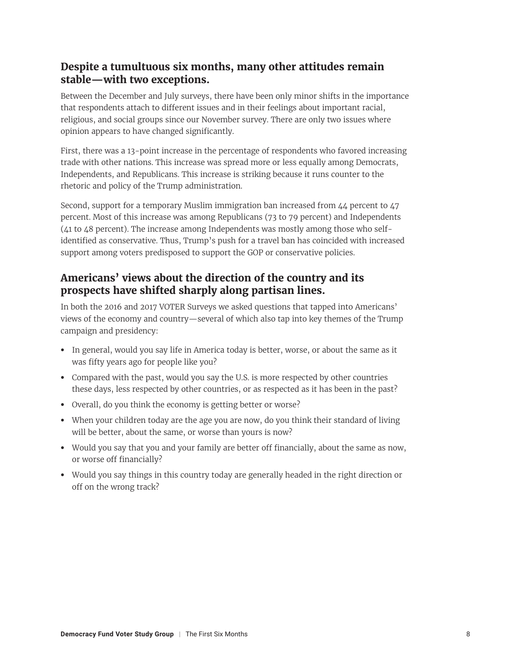#### **Despite a tumultuous six months, many other attitudes remain stable—with two exceptions.**

Between the December and July surveys, there have been only minor shifts in the importance that respondents attach to different issues and in their feelings about important racial, religious, and social groups since our November survey. There are only two issues where opinion appears to have changed significantly.

First, there was a 13-point increase in the percentage of respondents who favored increasing trade with other nations. This increase was spread more or less equally among Democrats, Independents, and Republicans. This increase is striking because it runs counter to the rhetoric and policy of the Trump administration.

Second, support for a temporary Muslim immigration ban increased from 44 percent to 47 percent. Most of this increase was among Republicans (73 to 79 percent) and Independents (41 to 48 percent). The increase among Independents was mostly among those who selfidentified as conservative. Thus, Trump's push for a travel ban has coincided with increased support among voters predisposed to support the GOP or conservative policies.

# **Americans' views about the direction of the country and its prospects have shifted sharply along partisan lines.**

In both the 2016 and 2017 VOTER Surveys we asked questions that tapped into Americans' views of the economy and country—several of which also tap into key themes of the Trump campaign and presidency:

- **•** In general, would you say life in America today is better, worse, or about the same as it was fifty years ago for people like you?
- **•** Compared with the past, would you say the U.S. is more respected by other countries these days, less respected by other countries, or as respected as it has been in the past?
- **•** Overall, do you think the economy is getting better or worse?
- **•** When your children today are the age you are now, do you think their standard of living will be better, about the same, or worse than yours is now?
- **•** Would you say that you and your family are better off financially, about the same as now, or worse off financially?
- **•** Would you say things in this country today are generally headed in the right direction or off on the wrong track?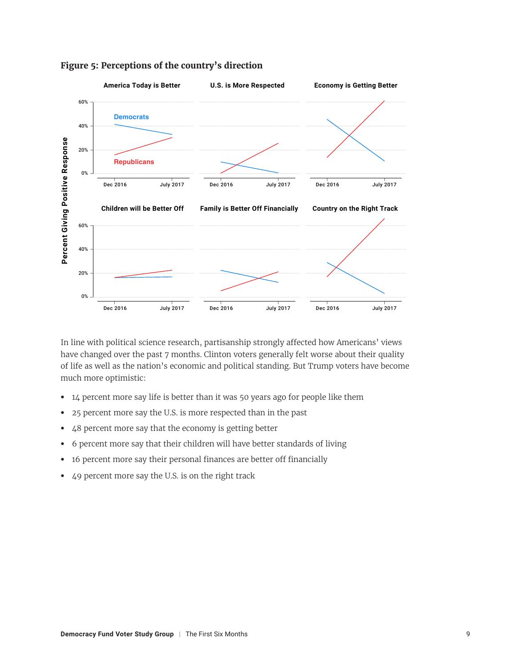

#### **Figure 5: Perceptions of the country's direction**

In line with political science research, partisanship strongly affected how Americans' views have changed over the past 7 months. Clinton voters generally felt worse about their quality of life as well as the nation's economic and political standing. But Trump voters have become much more optimistic:

- **•** 14 percent more say life is better than it was 50 years ago for people like them
- **•** 25 percent more say the U.S. is more respected than in the past
- **•** 48 percent more say that the economy is getting better
- **•** 6 percent more say that their children will have better standards of living
- **•** 16 percent more say their personal finances are better off financially
- **•** 49 percent more say the U.S. is on the right track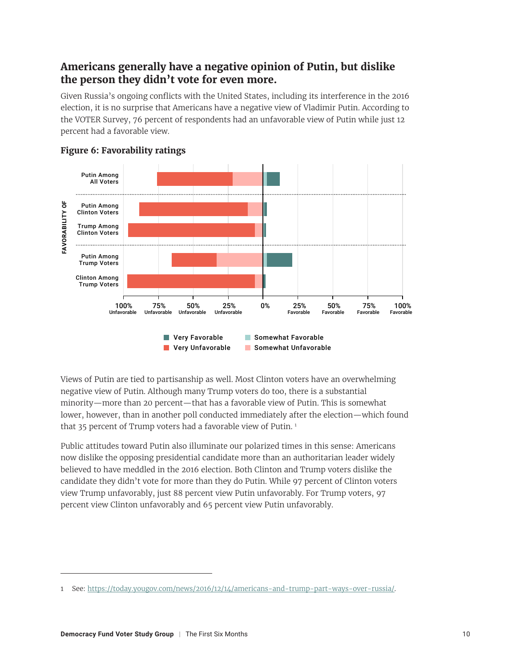# **Americans generally have a negative opinion of Putin, but dislike the person they didn't vote for even more.**

Given Russia's ongoing conflicts with the United States, including its interference in the 2016 election, it is no surprise that Americans have a negative view of Vladimir Putin. According to the VOTER Survey, 76 percent of respondents had an unfavorable view of Putin while just 12 percent had a favorable view.



#### **Figure 6: Favorability ratings**

Views of Putin are tied to partisanship as well. Most Clinton voters have an overwhelming negative view of Putin. Although many Trump voters do too, there is a substantial minority—more than 20 percent—that has a favorable view of Putin. This is somewhat lower, however, than in another poll conducted immediately after the election—which found that 35 percent of Trump voters had a favorable view of Putin.<sup>1</sup>

Public attitudes toward Putin also illuminate our polarized times in this sense: Americans now dislike the opposing presidential candidate more than an authoritarian leader widely believed to have meddled in the 2016 election. Both Clinton and Trump voters dislike the candidate they didn't vote for more than they do Putin. While 97 percent of Clinton voters view Trump unfavorably, just 88 percent view Putin unfavorably. For Trump voters, 97 percent view Clinton unfavorably and 65 percent view Putin unfavorably.

<sup>1</sup> See: <https://today.yougov.com/news/2016/12/14/americans-and-trump-part-ways-over-russia/>.